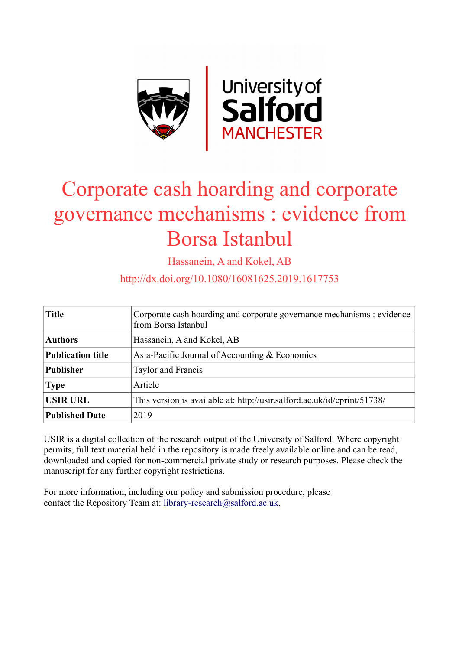

# Corporate cash hoarding and corporate governance mechanisms : evidence from Borsa Istanbul

Hassanein, A and Kokel, AB

http://dx.doi.org/10.1080/16081625.2019.1617753

| <b>Title</b>             | Corporate cash hoarding and corporate governance mechanisms : evidence<br>from Borsa Istanbul |
|--------------------------|-----------------------------------------------------------------------------------------------|
| <b>Authors</b>           | Hassanein, A and Kokel, AB                                                                    |
| <b>Publication title</b> | Asia-Pacific Journal of Accounting & Economics                                                |
| <b>Publisher</b>         | Taylor and Francis                                                                            |
| <b>Type</b>              | Article                                                                                       |
| <b>USIR URL</b>          | This version is available at: http://usir.salford.ac.uk/id/eprint/51738/                      |
| <b>Published Date</b>    | 2019                                                                                          |

USIR is a digital collection of the research output of the University of Salford. Where copyright permits, full text material held in the repository is made freely available online and can be read, downloaded and copied for non-commercial private study or research purposes. Please check the manuscript for any further copyright restrictions.

For more information, including our policy and submission procedure, please contact the Repository Team at: [library-research@salford.ac.uk.](mailto:library-research@salford.ac.uk)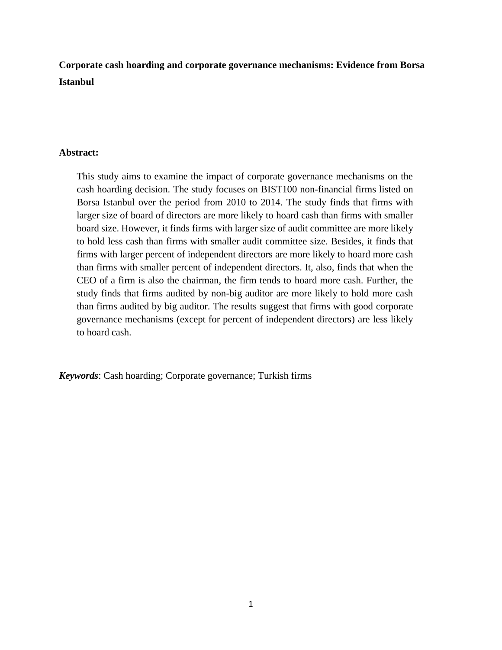**Corporate cash hoarding and corporate governance mechanisms: Evidence from Borsa Istanbul**

# **Abstract:**

This study aims to examine the impact of corporate governance mechanisms on the cash hoarding decision. The study focuses on BIST100 non-financial firms listed on Borsa Istanbul over the period from 2010 to 2014. The study finds that firms with larger size of board of directors are more likely to hoard cash than firms with smaller board size. However, it finds firms with larger size of audit committee are more likely to hold less cash than firms with smaller audit committee size. Besides, it finds that firms with larger percent of independent directors are more likely to hoard more cash than firms with smaller percent of independent directors. It, also, finds that when the CEO of a firm is also the chairman, the firm tends to hoard more cash. Further, the study finds that firms audited by non-big auditor are more likely to hold more cash than firms audited by big auditor. The results suggest that firms with good corporate governance mechanisms (except for percent of independent directors) are less likely to hoard cash.

*Keywords*: Cash hoarding; Corporate governance; Turkish firms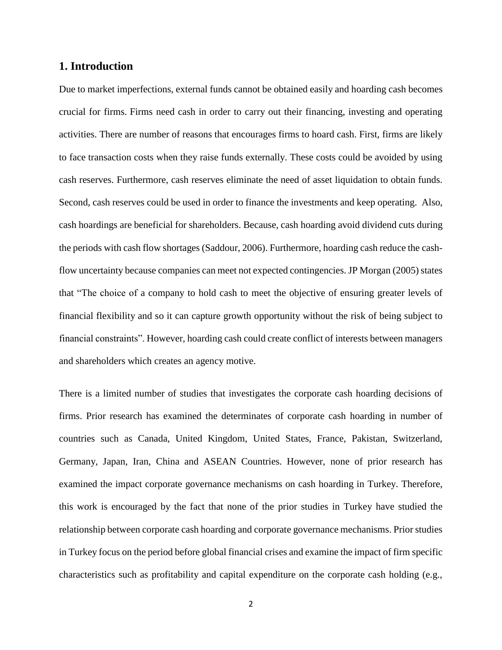# **1. Introduction**

Due to market imperfections, external funds cannot be obtained easily and hoarding cash becomes crucial for firms. Firms need cash in order to carry out their financing, investing and operating activities. There are number of reasons that encourages firms to hoard cash. First, firms are likely to face transaction costs when they raise funds externally. These costs could be avoided by using cash reserves. Furthermore, cash reserves eliminate the need of asset liquidation to obtain funds. Second, cash reserves could be used in order to finance the investments and keep operating. Also, cash hoardings are beneficial for shareholders. Because, cash hoarding avoid dividend cuts during the periods with cash flow shortages (Saddour, 2006). Furthermore, hoarding cash reduce the cashflow uncertainty because companies can meet not expected contingencies. JP Morgan (2005) states that "The choice of a company to hold cash to meet the objective of ensuring greater levels of financial flexibility and so it can capture growth opportunity without the risk of being subject to financial constraints". However, hoarding cash could create conflict of interests between managers and shareholders which creates an agency motive.

There is a limited number of studies that investigates the corporate cash hoarding decisions of firms. Prior research has examined the determinates of corporate cash hoarding in number of countries such as Canada, United Kingdom, United States, France, Pakistan, Switzerland, Germany, Japan, Iran, China and ASEAN Countries. However, none of prior research has examined the impact corporate governance mechanisms on cash hoarding in Turkey. Therefore, this work is encouraged by the fact that none of the prior studies in Turkey have studied the relationship between corporate cash hoarding and corporate governance mechanisms. Prior studies in Turkey focus on the period before global financial crises and examine the impact of firm specific characteristics such as profitability and capital expenditure on the corporate cash holding (e.g.,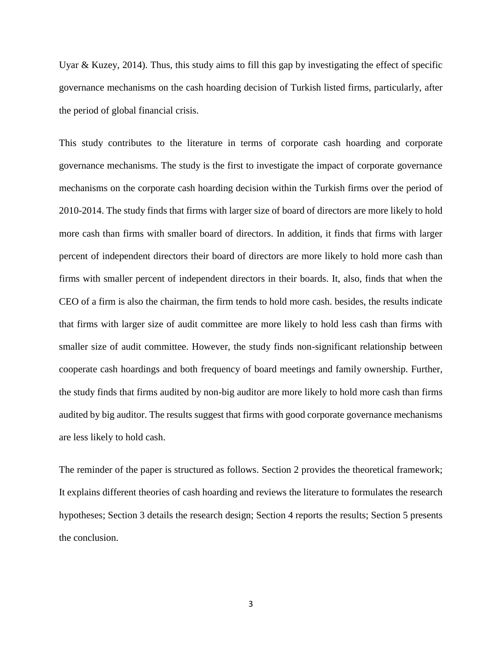Uyar & Kuzey, 2014). Thus, this study aims to fill this gap by investigating the effect of specific governance mechanisms on the cash hoarding decision of Turkish listed firms, particularly, after the period of global financial crisis.

This study contributes to the literature in terms of corporate cash hoarding and corporate governance mechanisms. The study is the first to investigate the impact of corporate governance mechanisms on the corporate cash hoarding decision within the Turkish firms over the period of 2010-2014. The study finds that firms with larger size of board of directors are more likely to hold more cash than firms with smaller board of directors. In addition, it finds that firms with larger percent of independent directors their board of directors are more likely to hold more cash than firms with smaller percent of independent directors in their boards. It, also, finds that when the CEO of a firm is also the chairman, the firm tends to hold more cash. besides, the results indicate that firms with larger size of audit committee are more likely to hold less cash than firms with smaller size of audit committee. However, the study finds non-significant relationship between cooperate cash hoardings and both frequency of board meetings and family ownership. Further, the study finds that firms audited by non-big auditor are more likely to hold more cash than firms audited by big auditor. The results suggest that firms with good corporate governance mechanisms are less likely to hold cash.

The reminder of the paper is structured as follows. Section 2 provides the theoretical framework; It explains different theories of cash hoarding and reviews the literature to formulates the research hypotheses; Section 3 details the research design; Section 4 reports the results; Section 5 presents the conclusion.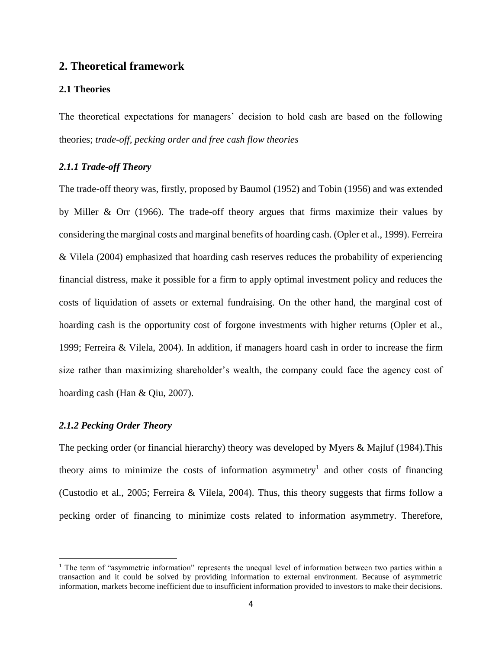# **2. Theoretical framework**

#### **2.1 Theories**

The theoretical expectations for managers' decision to hold cash are based on the following theories; *trade-off, pecking order and free cash flow theories*

# *2.1.1 Trade-off Theory*

The trade-off theory was, firstly, proposed by Baumol (1952) and Tobin (1956) and was extended by Miller & Orr (1966). The trade-off theory argues that firms maximize their values by considering the marginal costs and marginal benefits of hoarding cash. (Opler et al., 1999). Ferreira & Vilela (2004) emphasized that hoarding cash reserves reduces the probability of experiencing financial distress, make it possible for a firm to apply optimal investment policy and reduces the costs of liquidation of assets or external fundraising. On the other hand, the marginal cost of hoarding cash is the opportunity cost of forgone investments with higher returns (Opler et al., 1999; Ferreira & Vilela, 2004). In addition, if managers hoard cash in order to increase the firm size rather than maximizing shareholder's wealth, the company could face the agency cost of hoarding cash (Han & Qiu, 2007).

# *2.1.2 Pecking Order Theory*

 $\overline{\phantom{a}}$ 

The pecking order (or financial hierarchy) theory was developed by Myers & Majluf (1984).This theory aims to minimize the costs of information asymmetry<sup>1</sup> and other costs of financing (Custodio et al., 2005; Ferreira & Vilela, 2004). Thus, this theory suggests that firms follow a pecking order of financing to minimize costs related to information asymmetry. Therefore,

<sup>&</sup>lt;sup>1</sup> The term of "asymmetric information" represents the unequal level of information between two parties within a transaction and it could be solved by providing information to external environment. Because of asymmetric information, markets become inefficient due to insufficient information provided to investors to make their decisions.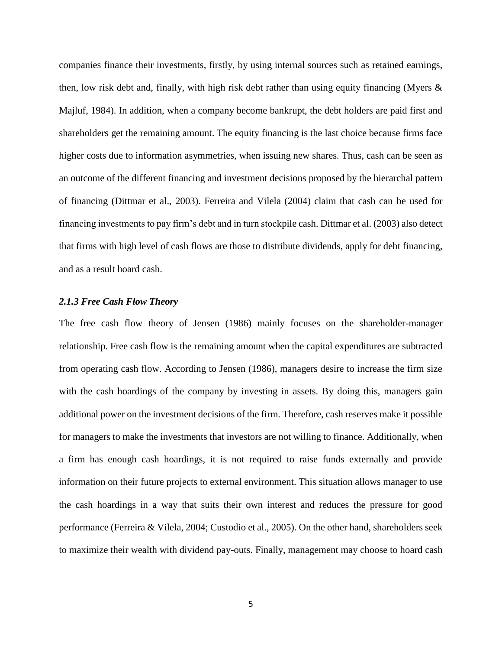companies finance their investments, firstly, by using internal sources such as retained earnings, then, low risk debt and, finally, with high risk debt rather than using equity financing (Myers  $\&$ Majluf, 1984). In addition, when a company become bankrupt, the debt holders are paid first and shareholders get the remaining amount. The equity financing is the last choice because firms face higher costs due to information asymmetries, when issuing new shares. Thus, cash can be seen as an outcome of the different financing and investment decisions proposed by the hierarchal pattern of financing (Dittmar et al., 2003). Ferreira and Vilela (2004) claim that cash can be used for financing investments to pay firm's debt and in turn stockpile cash. Dittmar et al. (2003) also detect that firms with high level of cash flows are those to distribute dividends, apply for debt financing, and as a result hoard cash.

## *2.1.3 Free Cash Flow Theory*

The free cash flow theory of Jensen (1986) mainly focuses on the shareholder-manager relationship. Free cash flow is the remaining amount when the capital expenditures are subtracted from operating cash flow. According to Jensen (1986), managers desire to increase the firm size with the cash hoardings of the company by investing in assets. By doing this, managers gain additional power on the investment decisions of the firm. Therefore, cash reserves make it possible for managers to make the investments that investors are not willing to finance. Additionally, when a firm has enough cash hoardings, it is not required to raise funds externally and provide information on their future projects to external environment. This situation allows manager to use the cash hoardings in a way that suits their own interest and reduces the pressure for good performance (Ferreira & Vilela, 2004; Custodio et al., 2005). On the other hand, shareholders seek to maximize their wealth with dividend pay-outs. Finally, management may choose to hoard cash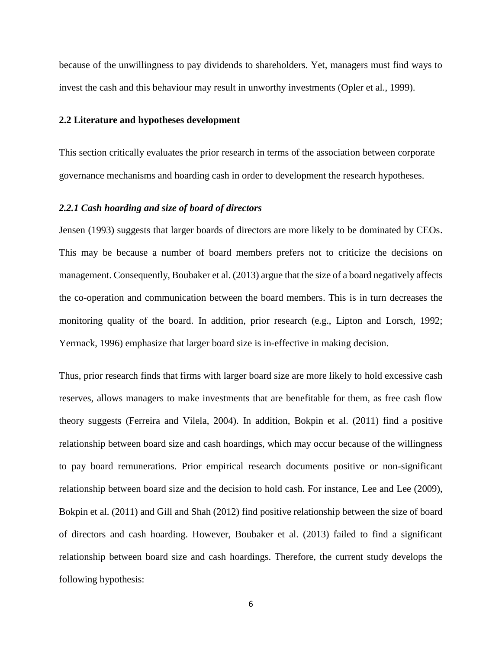because of the unwillingness to pay dividends to shareholders. Yet, managers must find ways to invest the cash and this behaviour may result in unworthy investments (Opler et al., 1999).

#### **2.2 Literature and hypotheses development**

This section critically evaluates the prior research in terms of the association between corporate governance mechanisms and hoarding cash in order to development the research hypotheses.

### *2.2.1 Cash hoarding and size of board of directors*

Jensen (1993) suggests that larger boards of directors are more likely to be dominated by CEOs. This may be because a number of board members prefers not to criticize the decisions on management. Consequently, Boubaker et al. (2013) argue that the size of a board negatively affects the co-operation and communication between the board members. This is in turn decreases the monitoring quality of the board. In addition, prior research (e.g., Lipton and Lorsch, 1992; Yermack, 1996) emphasize that larger board size is in-effective in making decision.

Thus, prior research finds that firms with larger board size are more likely to hold excessive cash reserves, allows managers to make investments that are benefitable for them, as free cash flow theory suggests (Ferreira and Vilela, 2004). In addition, Bokpin et al. (2011) find a positive relationship between board size and cash hoardings, which may occur because of the willingness to pay board remunerations. Prior empirical research documents positive or non-significant relationship between board size and the decision to hold cash. For instance, Lee and Lee (2009), Bokpin et al. (2011) and Gill and Shah (2012) find positive relationship between the size of board of directors and cash hoarding. However, Boubaker et al. (2013) failed to find a significant relationship between board size and cash hoardings. Therefore, the current study develops the following hypothesis: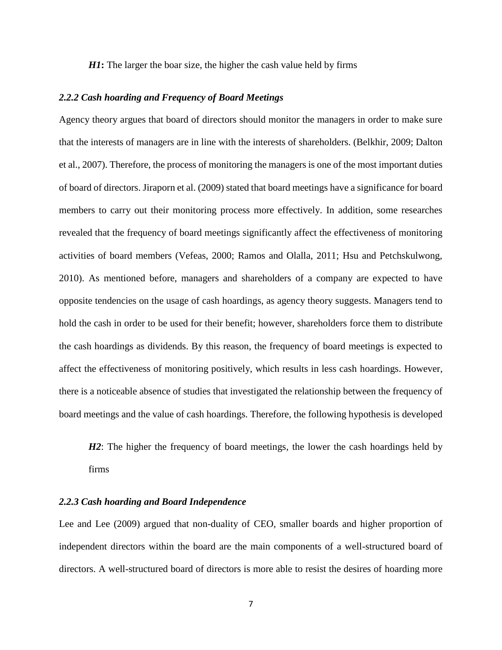*H1***:** The larger the boar size, the higher the cash value held by firms

#### *2.2.2 Cash hoarding and Frequency of Board Meetings*

Agency theory argues that board of directors should monitor the managers in order to make sure that the interests of managers are in line with the interests of shareholders. (Belkhir, 2009; Dalton et al., 2007). Therefore, the process of monitoring the managers is one of the most important duties of board of directors. Jiraporn et al. (2009) stated that board meetings have a significance for board members to carry out their monitoring process more effectively. In addition, some researches revealed that the frequency of board meetings significantly affect the effectiveness of monitoring activities of board members (Vefeas, 2000; Ramos and Olalla, 2011; Hsu and Petchskulwong, 2010). As mentioned before, managers and shareholders of a company are expected to have opposite tendencies on the usage of cash hoardings, as agency theory suggests. Managers tend to hold the cash in order to be used for their benefit; however, shareholders force them to distribute the cash hoardings as dividends. By this reason, the frequency of board meetings is expected to affect the effectiveness of monitoring positively, which results in less cash hoardings. However, there is a noticeable absence of studies that investigated the relationship between the frequency of board meetings and the value of cash hoardings. Therefore, the following hypothesis is developed

*H2*: The higher the frequency of board meetings, the lower the cash hoardings held by firms

# *2.2.3 Cash hoarding and Board Independence*

Lee and Lee (2009) argued that non-duality of CEO, smaller boards and higher proportion of independent directors within the board are the main components of a well-structured board of directors. A well-structured board of directors is more able to resist the desires of hoarding more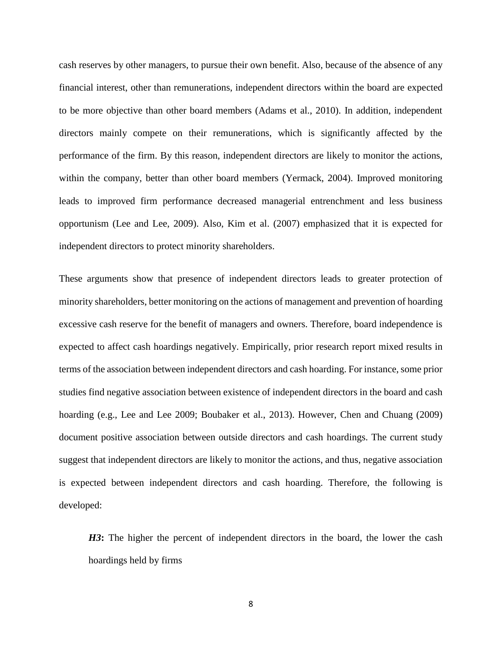cash reserves by other managers, to pursue their own benefit. Also, because of the absence of any financial interest, other than remunerations, independent directors within the board are expected to be more objective than other board members (Adams et al., 2010). In addition, independent directors mainly compete on their remunerations, which is significantly affected by the performance of the firm. By this reason, independent directors are likely to monitor the actions, within the company, better than other board members (Yermack, 2004). Improved monitoring leads to improved firm performance decreased managerial entrenchment and less business opportunism (Lee and Lee, 2009). Also, Kim et al. (2007) emphasized that it is expected for independent directors to protect minority shareholders.

These arguments show that presence of independent directors leads to greater protection of minority shareholders, better monitoring on the actions of management and prevention of hoarding excessive cash reserve for the benefit of managers and owners. Therefore, board independence is expected to affect cash hoardings negatively. Empirically, prior research report mixed results in terms of the association between independent directors and cash hoarding. For instance, some prior studies find negative association between existence of independent directors in the board and cash hoarding (e.g., Lee and Lee 2009; Boubaker et al., 2013). However, Chen and Chuang (2009) document positive association between outside directors and cash hoardings. The current study suggest that independent directors are likely to monitor the actions, and thus, negative association is expected between independent directors and cash hoarding. Therefore, the following is developed:

*H3***:** The higher the percent of independent directors in the board, the lower the cash hoardings held by firms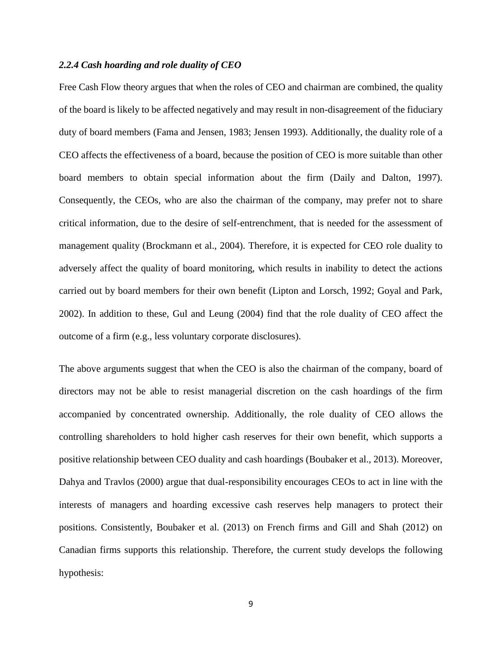# *2.2.4 Cash hoarding and role duality of CEO*

Free Cash Flow theory argues that when the roles of CEO and chairman are combined, the quality of the board is likely to be affected negatively and may result in non-disagreement of the fiduciary duty of board members (Fama and Jensen, 1983; Jensen 1993). Additionally, the duality role of a CEO affects the effectiveness of a board, because the position of CEO is more suitable than other board members to obtain special information about the firm (Daily and Dalton, 1997). Consequently, the CEOs, who are also the chairman of the company, may prefer not to share critical information, due to the desire of self-entrenchment, that is needed for the assessment of management quality (Brockmann et al., 2004). Therefore, it is expected for CEO role duality to adversely affect the quality of board monitoring, which results in inability to detect the actions carried out by board members for their own benefit (Lipton and Lorsch, 1992; Goyal and Park, 2002). In addition to these, Gul and Leung (2004) find that the role duality of CEO affect the outcome of a firm (e.g., less voluntary corporate disclosures).

The above arguments suggest that when the CEO is also the chairman of the company, board of directors may not be able to resist managerial discretion on the cash hoardings of the firm accompanied by concentrated ownership. Additionally, the role duality of CEO allows the controlling shareholders to hold higher cash reserves for their own benefit, which supports a positive relationship between CEO duality and cash hoardings (Boubaker et al., 2013). Moreover, Dahya and Travlos (2000) argue that dual-responsibility encourages CEOs to act in line with the interests of managers and hoarding excessive cash reserves help managers to protect their positions. Consistently, Boubaker et al. (2013) on French firms and Gill and Shah (2012) on Canadian firms supports this relationship. Therefore, the current study develops the following hypothesis: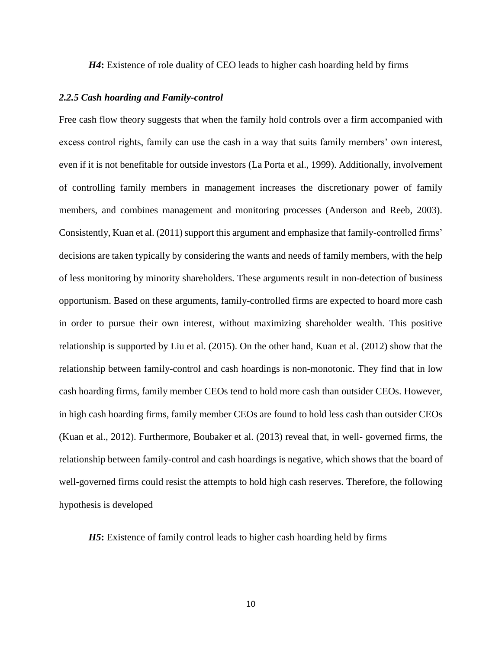*H4***:** Existence of role duality of CEO leads to higher cash hoarding held by firms

#### *2.2.5 Cash hoarding and Family-control*

Free cash flow theory suggests that when the family hold controls over a firm accompanied with excess control rights, family can use the cash in a way that suits family members' own interest, even if it is not benefitable for outside investors (La Porta et al., 1999). Additionally, involvement of controlling family members in management increases the discretionary power of family members, and combines management and monitoring processes (Anderson and Reeb, 2003). Consistently, Kuan et al. (2011) support this argument and emphasize that family-controlled firms' decisions are taken typically by considering the wants and needs of family members, with the help of less monitoring by minority shareholders. These arguments result in non-detection of business opportunism. Based on these arguments, family-controlled firms are expected to hoard more cash in order to pursue their own interest, without maximizing shareholder wealth. This positive relationship is supported by Liu et al. (2015). On the other hand, Kuan et al. (2012) show that the relationship between family-control and cash hoardings is non-monotonic. They find that in low cash hoarding firms, family member CEOs tend to hold more cash than outsider CEOs. However, in high cash hoarding firms, family member CEOs are found to hold less cash than outsider CEOs (Kuan et al., 2012). Furthermore, Boubaker et al. (2013) reveal that, in well- governed firms, the relationship between family-control and cash hoardings is negative, which shows that the board of well-governed firms could resist the attempts to hold high cash reserves. Therefore, the following hypothesis is developed

*H5***:** Existence of family control leads to higher cash hoarding held by firms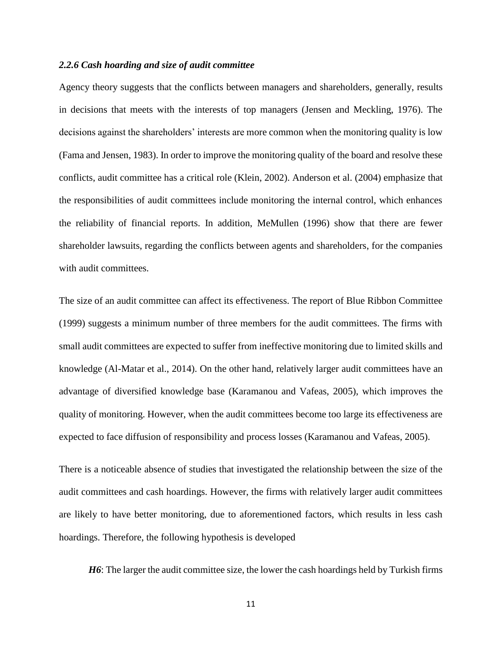# *2.2.6 Cash hoarding and size of audit committee*

Agency theory suggests that the conflicts between managers and shareholders, generally, results in decisions that meets with the interests of top managers (Jensen and Meckling, 1976). The decisions against the shareholders' interests are more common when the monitoring quality is low (Fama and Jensen, 1983). In order to improve the monitoring quality of the board and resolve these conflicts, audit committee has a critical role (Klein, 2002). Anderson et al. (2004) emphasize that the responsibilities of audit committees include monitoring the internal control, which enhances the reliability of financial reports. In addition, MeMullen (1996) show that there are fewer shareholder lawsuits, regarding the conflicts between agents and shareholders, for the companies with audit committees.

The size of an audit committee can affect its effectiveness. The report of Blue Ribbon Committee (1999) suggests a minimum number of three members for the audit committees. The firms with small audit committees are expected to suffer from ineffective monitoring due to limited skills and knowledge (Al-Matar et al., 2014). On the other hand, relatively larger audit committees have an advantage of diversified knowledge base (Karamanou and Vafeas, 2005), which improves the quality of monitoring. However, when the audit committees become too large its effectiveness are expected to face diffusion of responsibility and process losses (Karamanou and Vafeas, 2005).

There is a noticeable absence of studies that investigated the relationship between the size of the audit committees and cash hoardings. However, the firms with relatively larger audit committees are likely to have better monitoring, due to aforementioned factors, which results in less cash hoardings. Therefore, the following hypothesis is developed

*H6*: The larger the audit committee size, the lower the cash hoardings held by Turkish firms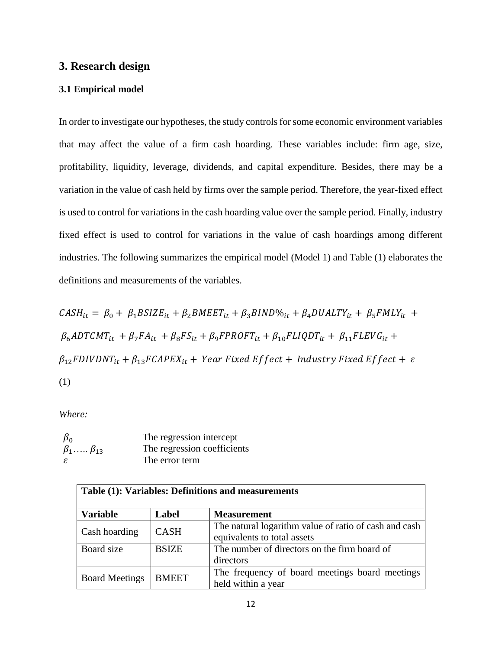# **3. Research design**

#### **3.1 Empirical model**

In order to investigate our hypotheses, the study controls for some economic environment variables that may affect the value of a firm cash hoarding. These variables include: firm age, size, profitability, liquidity, leverage, dividends, and capital expenditure. Besides, there may be a variation in the value of cash held by firms over the sample period. Therefore, the year-fixed effect is used to control for variations in the cash hoarding value over the sample period. Finally, industry fixed effect is used to control for variations in the value of cash hoardings among different industries. The following summarizes the empirical model (Model 1) and Table (1) elaborates the definitions and measurements of the variables.

 $\textit{CASH}_{it} = \beta_0 + \beta_1 \textit{BSIZE}_{it} + \beta_2 \textit{BMEET}_{it} + \beta_3 \textit{BIND\%}_{it} + \beta_4 \textit{DUALTY}_{it} + \beta_5 \textit{FMLY}_{it} +$  $\beta_6 A D T C M T_{it} + \beta_7 F A_{it} + \beta_8 F S_{it} + \beta_9 F P R O F T_{it} + \beta_{10} F L I Q D T_{it} + \beta_{11} F L E V G_{it} +$  $\beta_{12}$ FDIVDNT<sub>it</sub> +  $\beta_{13}$ FCAPEX<sub>it</sub> + Year Fixed Effect + Industry Fixed Effect +  $\varepsilon$ (1)

*Where:* 

 $\beta_0$  The regression intercept<br>  $\beta_1$ .....  $\beta_{13}$  The regression coefficien The regression coefficients The error term

| Table (1): Variables: Definitions and measurements |              |                                                                                      |  |  |  |  |
|----------------------------------------------------|--------------|--------------------------------------------------------------------------------------|--|--|--|--|
| <b>Variable</b>                                    | Label        | <b>Measurement</b>                                                                   |  |  |  |  |
| Cash hoarding                                      | <b>CASH</b>  | The natural logarithm value of ratio of cash and cash<br>equivalents to total assets |  |  |  |  |
| Board size                                         | <b>BSIZE</b> | The number of directors on the firm board of<br>directors                            |  |  |  |  |
| <b>Board Meetings</b>                              | <b>BMEET</b> | The frequency of board meetings board meetings<br>held within a year                 |  |  |  |  |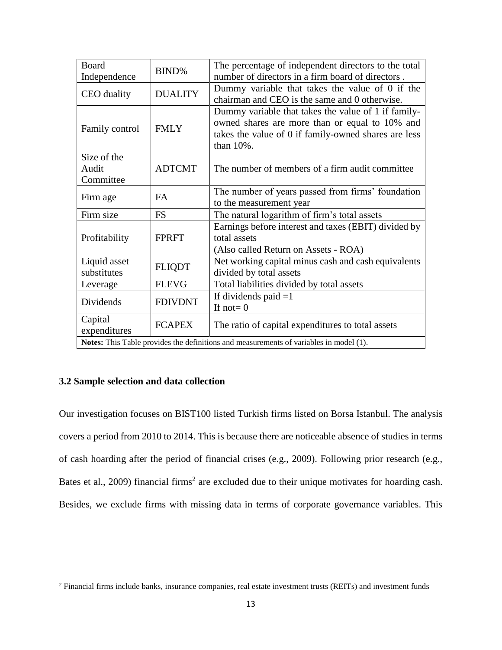| Board          | BIND%          | The percentage of independent directors to the total                                   |  |  |  |
|----------------|----------------|----------------------------------------------------------------------------------------|--|--|--|
| Independence   |                | number of directors in a firm board of directors.                                      |  |  |  |
|                |                | Dummy variable that takes the value of 0 if the                                        |  |  |  |
| CEO duality    | <b>DUALITY</b> | chairman and CEO is the same and 0 otherwise.                                          |  |  |  |
|                |                | Dummy variable that takes the value of 1 if family-                                    |  |  |  |
|                |                | owned shares are more than or equal to 10% and                                         |  |  |  |
| Family control | <b>FMLY</b>    | takes the value of 0 if family-owned shares are less                                   |  |  |  |
|                |                | than 10%.                                                                              |  |  |  |
| Size of the    |                |                                                                                        |  |  |  |
| Audit          | <b>ADTCMT</b>  | The number of members of a firm audit committee                                        |  |  |  |
| Committee      |                |                                                                                        |  |  |  |
|                | <b>FA</b>      | The number of years passed from firms' foundation                                      |  |  |  |
| Firm age       |                | to the measurement year                                                                |  |  |  |
| Firm size      | <b>FS</b>      | The natural logarithm of firm's total assets                                           |  |  |  |
|                |                | Earnings before interest and taxes (EBIT) divided by                                   |  |  |  |
| Profitability  | <b>FPRFT</b>   | total assets                                                                           |  |  |  |
|                |                | (Also called Return on Assets - ROA)                                                   |  |  |  |
| Liquid asset   |                | Net working capital minus cash and cash equivalents                                    |  |  |  |
| substitutes    | <b>FLIQDT</b>  | divided by total assets                                                                |  |  |  |
| Leverage       | <b>FLEVG</b>   | Total liabilities divided by total assets                                              |  |  |  |
|                |                | If dividends paid $=1$                                                                 |  |  |  |
| Dividends      | <b>FDIVDNT</b> | If not= $0$                                                                            |  |  |  |
| Capital        |                |                                                                                        |  |  |  |
| expenditures   | <b>FCAPEX</b>  | The ratio of capital expenditures to total assets                                      |  |  |  |
|                |                | Notes: This Table provides the definitions and measurements of variables in model (1). |  |  |  |

# **3.2 Sample selection and data collection**

 $\overline{\phantom{a}}$ 

Our investigation focuses on BIST100 listed Turkish firms listed on Borsa Istanbul. The analysis covers a period from 2010 to 2014. This is because there are noticeable absence of studies in terms of cash hoarding after the period of financial crises (e.g., 2009). Following prior research (e.g., Bates et al., 2009) financial firms<sup>2</sup> are excluded due to their unique motivates for hoarding cash. Besides, we exclude firms with missing data in terms of corporate governance variables. This

<sup>&</sup>lt;sup>2</sup> Financial firms include banks, insurance companies, real estate investment trusts (REITs) and investment funds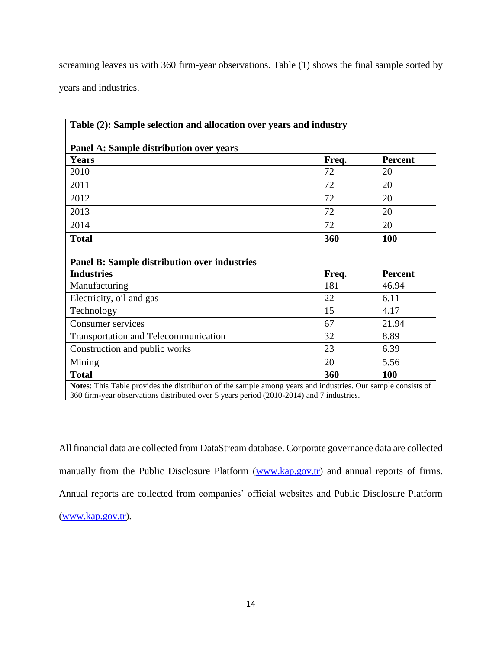screaming leaves us with 360 firm-year observations. Table (1) shows the final sample sorted by years and industries.

| Table (2): Sample selection and allocation over years and industry                                           |       |                |  |  |  |  |  |  |
|--------------------------------------------------------------------------------------------------------------|-------|----------------|--|--|--|--|--|--|
| Panel A: Sample distribution over years                                                                      |       |                |  |  |  |  |  |  |
| <b>Years</b>                                                                                                 | Freq. | <b>Percent</b> |  |  |  |  |  |  |
| 2010                                                                                                         | 72    | 20             |  |  |  |  |  |  |
| 2011                                                                                                         | 72    | 20             |  |  |  |  |  |  |
| 2012                                                                                                         | 72    | 20             |  |  |  |  |  |  |
| 2013                                                                                                         | 72    | 20             |  |  |  |  |  |  |
| 2014                                                                                                         | 72    | 20             |  |  |  |  |  |  |
| <b>Total</b>                                                                                                 | 360   | 100            |  |  |  |  |  |  |
|                                                                                                              |       |                |  |  |  |  |  |  |
| <b>Panel B: Sample distribution over industries</b>                                                          |       |                |  |  |  |  |  |  |
| <b>Industries</b>                                                                                            | Freq. | <b>Percent</b> |  |  |  |  |  |  |
| Manufacturing                                                                                                | 181   | 46.94          |  |  |  |  |  |  |
| Electricity, oil and gas                                                                                     | 22    | 6.11           |  |  |  |  |  |  |
| Technology                                                                                                   | 15    | 4.17           |  |  |  |  |  |  |
| Consumer services                                                                                            | 67    | 21.94          |  |  |  |  |  |  |
| <b>Transportation and Telecommunication</b>                                                                  | 32    | 8.89           |  |  |  |  |  |  |
| Construction and public works                                                                                | 23    | 6.39           |  |  |  |  |  |  |
| Mining                                                                                                       | 20    | 5.56           |  |  |  |  |  |  |
| <b>Total</b>                                                                                                 | 360   | 100            |  |  |  |  |  |  |
| Notes: This Table provides the distribution of the sample among years and industries. Our sample consists of |       |                |  |  |  |  |  |  |

360 firm-year observations distributed over 5 years period (2010-2014) and 7 industries.

All financial data are collected from DataStream database. Corporate governance data are collected manually from the Public Disclosure Platform [\(www.kap.gov.tr\)](http://www.kap.gov.tr/) and annual reports of firms. Annual reports are collected from companies' official websites and Public Disclosure Platform [\(www.kap.gov.tr\)](http://www.kap.gov.tr/).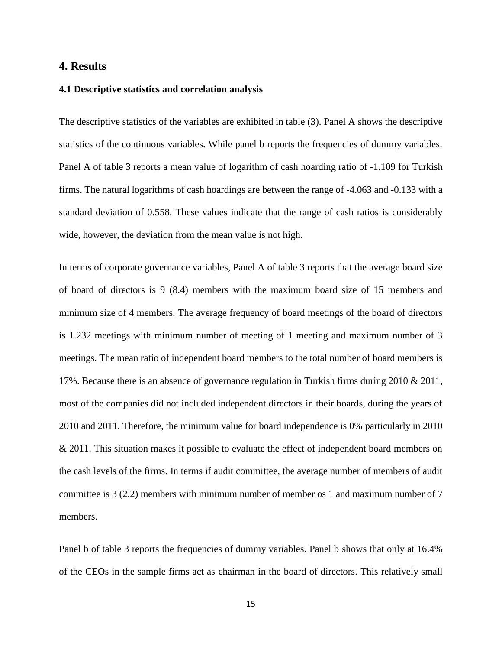# **4. Results**

#### **4.1 Descriptive statistics and correlation analysis**

The descriptive statistics of the variables are exhibited in table (3). Panel A shows the descriptive statistics of the continuous variables. While panel b reports the frequencies of dummy variables. Panel A of table 3 reports a mean value of logarithm of cash hoarding ratio of -1.109 for Turkish firms. The natural logarithms of cash hoardings are between the range of -4.063 and -0.133 with a standard deviation of 0.558. These values indicate that the range of cash ratios is considerably wide, however, the deviation from the mean value is not high.

In terms of corporate governance variables, Panel A of table 3 reports that the average board size of board of directors is 9 (8.4) members with the maximum board size of 15 members and minimum size of 4 members. The average frequency of board meetings of the board of directors is 1.232 meetings with minimum number of meeting of 1 meeting and maximum number of 3 meetings. The mean ratio of independent board members to the total number of board members is 17%. Because there is an absence of governance regulation in Turkish firms during 2010  $& 2011$ , most of the companies did not included independent directors in their boards, during the years of 2010 and 2011. Therefore, the minimum value for board independence is 0% particularly in 2010 & 2011. This situation makes it possible to evaluate the effect of independent board members on the cash levels of the firms. In terms if audit committee, the average number of members of audit committee is 3 (2.2) members with minimum number of member os 1 and maximum number of 7 members.

Panel b of table 3 reports the frequencies of dummy variables. Panel b shows that only at 16.4% of the CEOs in the sample firms act as chairman in the board of directors. This relatively small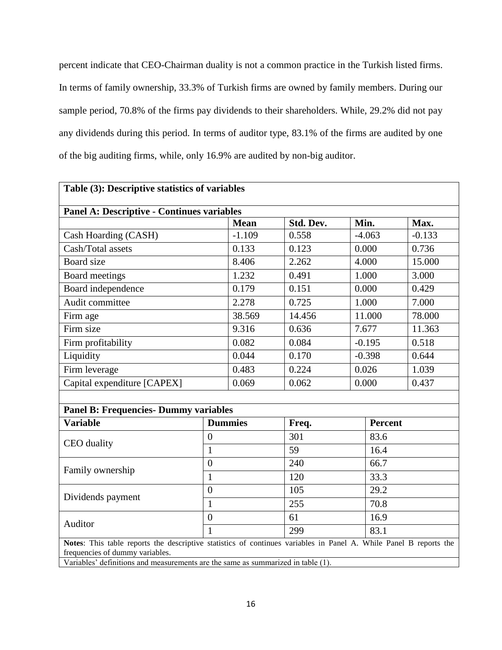percent indicate that CEO-Chairman duality is not a common practice in the Turkish listed firms. In terms of family ownership, 33.3% of Turkish firms are owned by family members. During our sample period, 70.8% of the firms pay dividends to their shareholders. While, 29.2% did not pay any dividends during this period. In terms of auditor type, 83.1% of the firms are audited by one of the big auditing firms, while, only 16.9% are audited by non-big auditor.

|                                                   |             |                                                                                                                                                             |                                                                                                                                                                   |                | Table (3): Descriptive statistics of variables                                                                                                                                                                                                          |  |  |  |  |  |  |  |  |
|---------------------------------------------------|-------------|-------------------------------------------------------------------------------------------------------------------------------------------------------------|-------------------------------------------------------------------------------------------------------------------------------------------------------------------|----------------|---------------------------------------------------------------------------------------------------------------------------------------------------------------------------------------------------------------------------------------------------------|--|--|--|--|--|--|--|--|
| <b>Panel A: Descriptive - Continues variables</b> |             |                                                                                                                                                             |                                                                                                                                                                   |                |                                                                                                                                                                                                                                                         |  |  |  |  |  |  |  |  |
|                                                   | <b>Mean</b> | Std. Dev.                                                                                                                                                   |                                                                                                                                                                   |                | Max.                                                                                                                                                                                                                                                    |  |  |  |  |  |  |  |  |
| Cash Hoarding (CASH)                              |             |                                                                                                                                                             |                                                                                                                                                                   |                | $-0.133$                                                                                                                                                                                                                                                |  |  |  |  |  |  |  |  |
| Cash/Total assets                                 |             |                                                                                                                                                             |                                                                                                                                                                   |                | 0.736                                                                                                                                                                                                                                                   |  |  |  |  |  |  |  |  |
| Board size                                        |             |                                                                                                                                                             |                                                                                                                                                                   |                | 15.000                                                                                                                                                                                                                                                  |  |  |  |  |  |  |  |  |
| Board meetings                                    |             |                                                                                                                                                             |                                                                                                                                                                   |                | 3.000                                                                                                                                                                                                                                                   |  |  |  |  |  |  |  |  |
| Board independence                                |             |                                                                                                                                                             |                                                                                                                                                                   |                | 0.429                                                                                                                                                                                                                                                   |  |  |  |  |  |  |  |  |
| Audit committee                                   |             |                                                                                                                                                             |                                                                                                                                                                   |                | 7.000                                                                                                                                                                                                                                                   |  |  |  |  |  |  |  |  |
|                                                   | 38.569      | 14.456                                                                                                                                                      |                                                                                                                                                                   |                | 78.000                                                                                                                                                                                                                                                  |  |  |  |  |  |  |  |  |
| Firm age<br>Firm size                             |             | 0.636                                                                                                                                                       |                                                                                                                                                                   |                | 11.363                                                                                                                                                                                                                                                  |  |  |  |  |  |  |  |  |
| Firm profitability                                |             |                                                                                                                                                             |                                                                                                                                                                   |                | 0.518                                                                                                                                                                                                                                                   |  |  |  |  |  |  |  |  |
| Liquidity                                         |             |                                                                                                                                                             |                                                                                                                                                                   |                | 0.644                                                                                                                                                                                                                                                   |  |  |  |  |  |  |  |  |
| Firm leverage                                     |             |                                                                                                                                                             |                                                                                                                                                                   |                | 1.039                                                                                                                                                                                                                                                   |  |  |  |  |  |  |  |  |
|                                                   | 0.069       | 0.062                                                                                                                                                       |                                                                                                                                                                   |                | 0.437                                                                                                                                                                                                                                                   |  |  |  |  |  |  |  |  |
|                                                   |             |                                                                                                                                                             |                                                                                                                                                                   |                |                                                                                                                                                                                                                                                         |  |  |  |  |  |  |  |  |
|                                                   |             |                                                                                                                                                             |                                                                                                                                                                   |                |                                                                                                                                                                                                                                                         |  |  |  |  |  |  |  |  |
|                                                   |             | Freq.                                                                                                                                                       |                                                                                                                                                                   | <b>Percent</b> |                                                                                                                                                                                                                                                         |  |  |  |  |  |  |  |  |
| $\boldsymbol{0}$                                  |             | 301                                                                                                                                                         |                                                                                                                                                                   | 83.6           |                                                                                                                                                                                                                                                         |  |  |  |  |  |  |  |  |
| $\mathbf{1}$                                      |             | 59                                                                                                                                                          |                                                                                                                                                                   | 16.4           |                                                                                                                                                                                                                                                         |  |  |  |  |  |  |  |  |
| $\overline{0}$                                    |             | 240                                                                                                                                                         |                                                                                                                                                                   | 66.7           |                                                                                                                                                                                                                                                         |  |  |  |  |  |  |  |  |
| $\mathbf{1}$                                      |             | 120                                                                                                                                                         |                                                                                                                                                                   | 33.3           |                                                                                                                                                                                                                                                         |  |  |  |  |  |  |  |  |
| $\boldsymbol{0}$                                  |             | 105                                                                                                                                                         |                                                                                                                                                                   |                |                                                                                                                                                                                                                                                         |  |  |  |  |  |  |  |  |
| $\mathbf{1}$                                      |             | 255                                                                                                                                                         |                                                                                                                                                                   |                | 70.8                                                                                                                                                                                                                                                    |  |  |  |  |  |  |  |  |
| $\overline{0}$                                    |             | 61                                                                                                                                                          |                                                                                                                                                                   |                | 16.9                                                                                                                                                                                                                                                    |  |  |  |  |  |  |  |  |
| $\mathbf{1}$                                      |             | 299                                                                                                                                                         | 83.1                                                                                                                                                              |                |                                                                                                                                                                                                                                                         |  |  |  |  |  |  |  |  |
|                                                   |             |                                                                                                                                                             |                                                                                                                                                                   |                |                                                                                                                                                                                                                                                         |  |  |  |  |  |  |  |  |
|                                                   |             |                                                                                                                                                             |                                                                                                                                                                   |                |                                                                                                                                                                                                                                                         |  |  |  |  |  |  |  |  |
|                                                   |             | $-1.109$<br>0.133<br>8.406<br>1.232<br>0.179<br>2.278<br>9.316<br>0.082<br>0.044<br>0.483<br><b>Panel B: Frequencies- Dummy variables</b><br><b>Dummies</b> | 0.558<br>0.123<br>2.262<br>0.491<br>0.151<br>0.725<br>0.084<br>0.170<br>0.224<br>Variables' definitions and measurements are the same as summarized in table (1). |                | Min.<br>$-4.063$<br>0.000<br>4.000<br>1.000<br>0.000<br>1.000<br>11.000<br>7.677<br>$-0.195$<br>$-0.398$<br>0.026<br>0.000<br>29.2<br>Notes: This table reports the descriptive statistics of continues variables in Panel A. While Panel B reports the |  |  |  |  |  |  |  |  |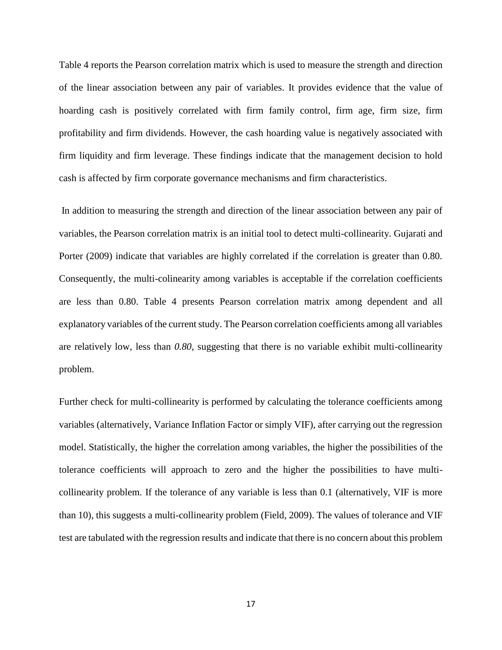Table 4 reports the Pearson correlation matrix which is used to measure the strength and direction of the linear association between any pair of variables. It provides evidence that the value of hoarding cash is positively correlated with firm family control, firm age, firm size, firm profitability and firm dividends. However, the cash hoarding value is negatively associated with firm liquidity and firm leverage. These findings indicate that the management decision to hold cash is affected by firm corporate governance mechanisms and firm characteristics.

In addition to measuring the strength and direction of the linear association between any pair of variables, the Pearson correlation matrix is an initial tool to detect multi-collinearity. Gujarati and Porter (2009) indicate that variables are highly correlated if the correlation is greater than 0.80. Consequently, the multi-colinearity among variables is acceptable if the correlation coefficients are less than 0.80. Table 4 presents Pearson correlation matrix among dependent and all explanatory variables of the current study. The Pearson correlation coefficients among all variables are relatively low, less than *0.80*, suggesting that there is no variable exhibit multi-collinearity problem.

Further check for multi-collinearity is performed by calculating the tolerance coefficients among variables (alternatively, Variance Inflation Factor or simply VIF), after carrying out the regression model. Statistically, the higher the correlation among variables, the higher the possibilities of the tolerance coefficients will approach to zero and the higher the possibilities to have multicollinearity problem. If the tolerance of any variable is less than 0.1 (alternatively, VIF is more than 10), this suggests a multi-collinearity problem (Field, 2009). The values of tolerance and VIF test are tabulated with the regression results and indicate that there is no concern about this problem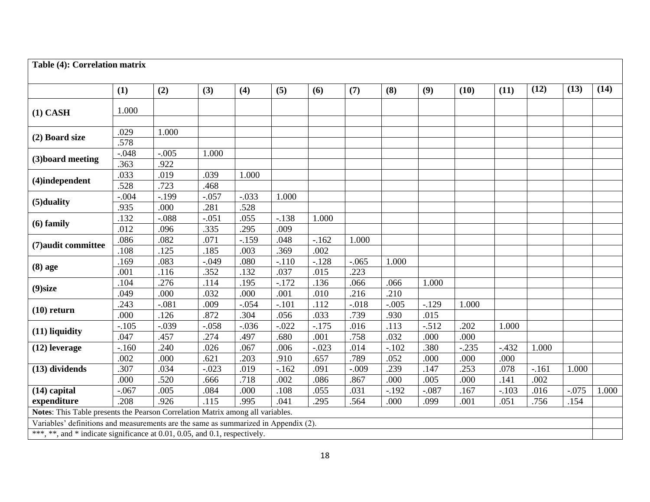| Table (4): Correlation matrix                                                       |                 |              |                 |              |              |                 |              |                 |              |                 |                 |        |         |       |
|-------------------------------------------------------------------------------------|-----------------|--------------|-----------------|--------------|--------------|-----------------|--------------|-----------------|--------------|-----------------|-----------------|--------|---------|-------|
|                                                                                     | (1)             | (2)          | (3)             | (4)          | (5)          | (6)             | (7)          | (8)             | (9)          | (10)            | (11)            | (12)   | (13)    | (14)  |
|                                                                                     |                 |              |                 |              |              |                 |              |                 |              |                 |                 |        |         |       |
| $(1)$ CASH                                                                          | 1.000           |              |                 |              |              |                 |              |                 |              |                 |                 |        |         |       |
|                                                                                     |                 |              |                 |              |              |                 |              |                 |              |                 |                 |        |         |       |
| (2) Board size                                                                      | .029            | 1.000        |                 |              |              |                 |              |                 |              |                 |                 |        |         |       |
|                                                                                     | .578            |              |                 |              |              |                 |              |                 |              |                 |                 |        |         |       |
| (3) board meeting                                                                   | $-0.048$        | $-.005$      | 1.000           |              |              |                 |              |                 |              |                 |                 |        |         |       |
|                                                                                     | .363            | .922         |                 |              |              |                 |              |                 |              |                 |                 |        |         |       |
| (4)independent                                                                      | .033            | .019         | .039            | 1.000        |              |                 |              |                 |              |                 |                 |        |         |       |
|                                                                                     | .528            | .723         | .468            |              |              |                 |              |                 |              |                 |                 |        |         |       |
| (5) duality                                                                         | $-.004$         | $-.199$      | $-.057$         | $-.033$      | 1.000        |                 |              |                 |              |                 |                 |        |         |       |
|                                                                                     | .935            | .000         | .281            | .528         |              |                 |              |                 |              |                 |                 |        |         |       |
| $(6)$ family                                                                        | .132            | $-.088$      | $-.051$         | .055         | $-.138$      | 1.000           |              |                 |              |                 |                 |        |         |       |
|                                                                                     | .012            | .096         | .335            | .295         | .009         |                 |              |                 |              |                 |                 |        |         |       |
| (7) audit committee                                                                 | .086            | .082         | .071            | $-.159$      | .048         | $-.162$         | 1.000        |                 |              |                 |                 |        |         |       |
|                                                                                     | .108            | .125         | .185            | .003         | .369         | .002            |              |                 |              |                 |                 |        |         |       |
| $(8)$ age                                                                           | .169            | .083         | $-.049$         | .080         | $-.110$      | $-.128$         | $-.065$      | 1.000           |              |                 |                 |        |         |       |
|                                                                                     | .001            | .116         | .352            | .132         | .037         | .015            | .223         |                 |              |                 |                 |        |         |       |
| (9) size                                                                            | .104            | .276         | .114            | .195         | $-.172$      | .136            | .066         | .066            | 1.000        |                 |                 |        |         |       |
|                                                                                     | .049            | .000         | .032            | .000         | .001         | .010            | .216         | .210            |              |                 |                 |        |         |       |
| $(10)$ return                                                                       | .243            | $-.081$      | .009            | $-.054$      | $-.101$      | .112            | $-.018$      | $-.005$         | $-129$       | 1.000           |                 |        |         |       |
|                                                                                     | .000            | .126         | .872            | .304         | .056         | .033            | .739         | .930            | .015         |                 |                 |        |         |       |
| (11) liquidity                                                                      | $-.105$         | $-.039$      | $-.058$<br>.274 | $-.036$      | $-.022$      | $-.175$         | .016         | .113            | $-.512$      | .202            | 1.000           |        |         |       |
|                                                                                     | .047            | .457<br>.240 | .026            | .497<br>.067 | .680<br>.006 | .001<br>$-.023$ | .758<br>.014 | .032<br>$-.102$ | .000<br>.380 | .000<br>$-.235$ |                 | 1.000  |         |       |
| $(12)$ leverage                                                                     | $-.160$<br>.002 | .000         | .621            | .203         | .910         | .657            | .789         | .052            | .000         | .000            | $-.432$<br>.000 |        |         |       |
| (13) dividends                                                                      | .307            | .034         | $-.023$         | .019         | $-162$       | .091            | $-.009$      | .239            | .147         | .253            | .078            | $-161$ | 1.000   |       |
|                                                                                     | .000            | .520         | .666            | .718         | .002         | .086            | .867         | .000            | .005         | .000            | .141            | .002   |         |       |
| $(14)$ capital                                                                      | $-.067$         | .005         | .084            | .000         | .108         | .055            | .031         | $-.192$         | $-.087$      | .167            | $-.103$         | .016   | $-.075$ | 1.000 |
| expenditure                                                                         | .208            | .926         | .115            | .995         | .041         | .295            | .564         | .000            | .099         | .001            | .051            | .756   | .154    |       |
| Notes: This Table presents the Pearson Correlation Matrix among all variables.      |                 |              |                 |              |              |                 |              |                 |              |                 |                 |        |         |       |
| Variables' definitions and measurements are the same as summarized in Appendix (2). |                 |              |                 |              |              |                 |              |                 |              |                 |                 |        |         |       |
|                                                                                     |                 |              |                 |              |              |                 |              |                 |              |                 |                 |        |         |       |
| ***, **, and * indicate significance at 0.01, 0.05, and 0.1, respectively.          |                 |              |                 |              |              |                 |              |                 |              |                 |                 |        |         |       |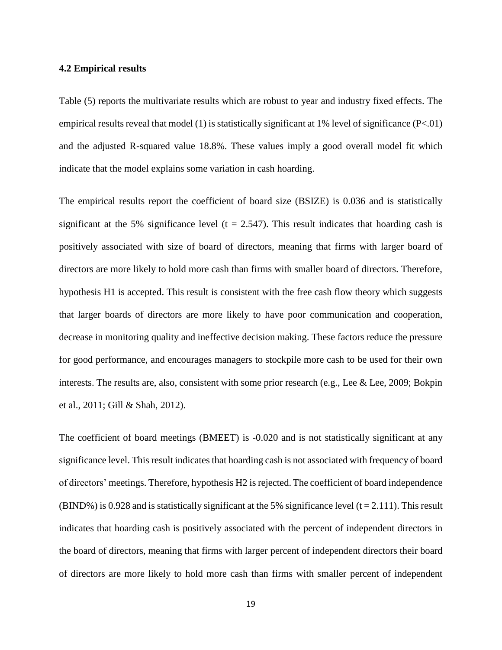#### **4.2 Empirical results**

Table (5) reports the multivariate results which are robust to year and industry fixed effects. The empirical results reveal that model (1) is statistically significant at  $1\%$  level of significance (P<.01) and the adjusted R-squared value 18.8%. These values imply a good overall model fit which indicate that the model explains some variation in cash hoarding.

The empirical results report the coefficient of board size (BSIZE) is 0.036 and is statistically significant at the 5% significance level ( $t = 2.547$ ). This result indicates that hoarding cash is positively associated with size of board of directors, meaning that firms with larger board of directors are more likely to hold more cash than firms with smaller board of directors. Therefore, hypothesis H1 is accepted. This result is consistent with the free cash flow theory which suggests that larger boards of directors are more likely to have poor communication and cooperation, decrease in monitoring quality and ineffective decision making. These factors reduce the pressure for good performance, and encourages managers to stockpile more cash to be used for their own interests. The results are, also, consistent with some prior research (e.g., Lee & Lee, 2009; Bokpin et al., 2011; Gill & Shah, 2012).

The coefficient of board meetings (BMEET) is -0.020 and is not statistically significant at any significance level. This result indicates that hoarding cash is not associated with frequency of board of directors' meetings. Therefore, hypothesis H2 is rejected. The coefficient of board independence (BIND%) is 0.928 and is statistically significant at the 5% significance level (t = 2.111). This result indicates that hoarding cash is positively associated with the percent of independent directors in the board of directors, meaning that firms with larger percent of independent directors their board of directors are more likely to hold more cash than firms with smaller percent of independent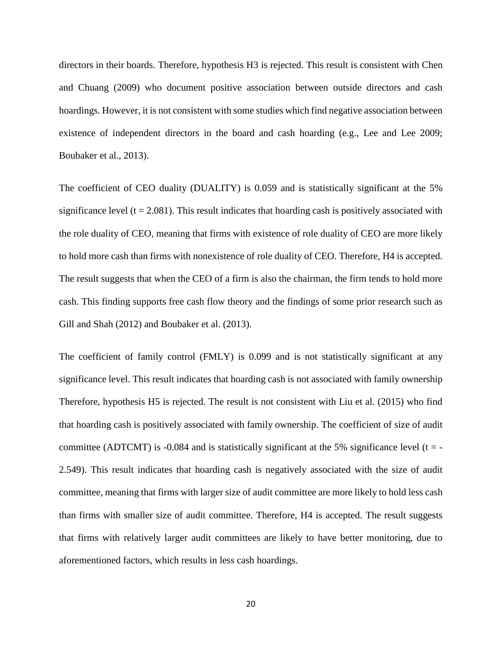directors in their boards. Therefore, hypothesis H3 is rejected. This result is consistent with Chen and Chuang (2009) who document positive association between outside directors and cash hoardings. However, it is not consistent with some studies which find negative association between existence of independent directors in the board and cash hoarding (e.g., Lee and Lee 2009; Boubaker et al., 2013).

The coefficient of CEO duality (DUALITY) is 0.059 and is statistically significant at the 5% significance level ( $t = 2.081$ ). This result indicates that hoarding cash is positively associated with the role duality of CEO, meaning that firms with existence of role duality of CEO are more likely to hold more cash than firms with nonexistence of role duality of CEO. Therefore, H4 is accepted. The result suggests that when the CEO of a firm is also the chairman, the firm tends to hold more cash. This finding supports free cash flow theory and the findings of some prior research such as Gill and Shah (2012) and Boubaker et al. (2013).

The coefficient of family control (FMLY) is 0.099 and is not statistically significant at any significance level. This result indicates that hoarding cash is not associated with family ownership Therefore, hypothesis H5 is rejected. The result is not consistent with Liu et al. (2015) who find that hoarding cash is positively associated with family ownership. The coefficient of size of audit committee (ADTCMT) is -0.084 and is statistically significant at the 5% significance level ( $t = -$ 2.549). This result indicates that hoarding cash is negatively associated with the size of audit committee, meaning that firms with larger size of audit committee are more likely to hold less cash than firms with smaller size of audit committee. Therefore, H4 is accepted. The result suggests that firms with relatively larger audit committees are likely to have better monitoring, due to aforementioned factors, which results in less cash hoardings.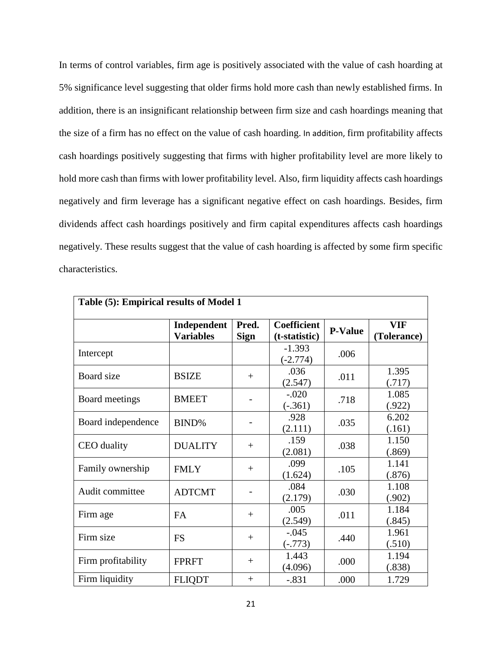In terms of control variables, firm age is positively associated with the value of cash hoarding at 5% significance level suggesting that older firms hold more cash than newly established firms. In addition, there is an insignificant relationship between firm size and cash hoardings meaning that the size of a firm has no effect on the value of cash hoarding. In addition, firm profitability affects cash hoardings positively suggesting that firms with higher profitability level are more likely to hold more cash than firms with lower profitability level. Also, firm liquidity affects cash hoardings negatively and firm leverage has a significant negative effect on cash hoardings. Besides, firm dividends affect cash hoardings positively and firm capital expenditures affects cash hoardings negatively. These results suggest that the value of cash hoarding is affected by some firm specific characteristics.

| Table (5): Empirical results of Model 1 |                                 |                      |                                     |                |                           |  |  |  |  |
|-----------------------------------------|---------------------------------|----------------------|-------------------------------------|----------------|---------------------------|--|--|--|--|
|                                         | Independent<br><b>Variables</b> | Pred.<br><b>Sign</b> | <b>Coefficient</b><br>(t-statistic) | <b>P-Value</b> | <b>VIF</b><br>(Tolerance) |  |  |  |  |
| Intercept                               |                                 |                      | $-1.393$<br>$(-2.774)$              | .006           |                           |  |  |  |  |
| Board size                              | <b>BSIZE</b>                    | $+$                  | .036<br>(2.547)                     | .011           | 1.395<br>(.717)           |  |  |  |  |
| Board meetings                          | <b>BMEET</b>                    |                      | $-.020$<br>$(-.361)$                | .718           | 1.085<br>(.922)           |  |  |  |  |
| Board independence                      | BIND%                           |                      | .928<br>(2.111)                     | .035           | 6.202<br>(.161)           |  |  |  |  |
| CEO duality                             | <b>DUALITY</b>                  | $^{+}$               | .159<br>(2.081)                     | .038           | 1.150<br>(.869)           |  |  |  |  |
| Family ownership                        | <b>FMLY</b>                     | $+$                  | .099<br>(1.624)                     | .105           | 1.141<br>(.876)           |  |  |  |  |
| Audit committee                         | <b>ADTCMT</b>                   |                      | .084<br>(2.179)                     | .030           | 1.108<br>(.902)           |  |  |  |  |
| Firm age                                | <b>FA</b>                       | $^{+}$               | .005<br>(2.549)                     | .011           | 1.184<br>(.845)           |  |  |  |  |
| Firm size                               | <b>FS</b>                       | $^{+}$               | $-.045$<br>$(-.773)$                | .440           | 1.961<br>(.510)           |  |  |  |  |
| Firm profitability                      | <b>FPRFT</b>                    | $^{+}$               | 1.443<br>(4.096)                    | .000           | 1.194<br>(.838)           |  |  |  |  |
| Firm liquidity                          | <b>FLIQDT</b>                   | $+$                  | $-.831$                             | .000           | 1.729                     |  |  |  |  |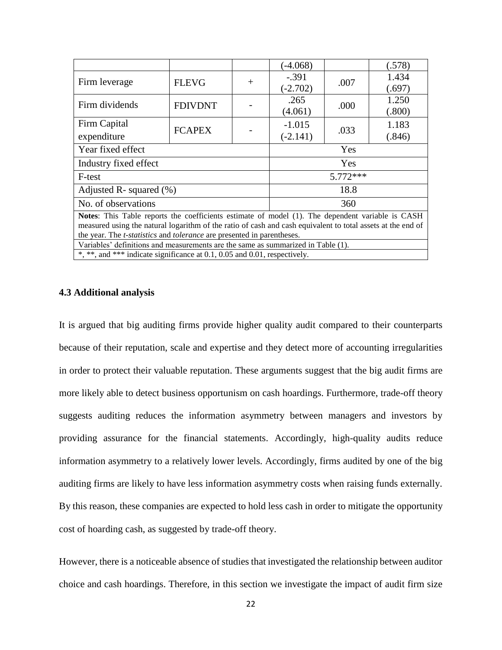|                                                                                                         |                |        | $(-4.068)$ |      | (.578) |  |
|---------------------------------------------------------------------------------------------------------|----------------|--------|------------|------|--------|--|
| Firm leverage                                                                                           | <b>FLEVG</b>   | $^{+}$ | $-.391$    |      | 1.434  |  |
|                                                                                                         |                |        | $(-2.702)$ | .007 | (.697) |  |
| Firm dividends                                                                                          | <b>FDIVDNT</b> |        | .265       |      | 1.250  |  |
|                                                                                                         |                |        | (4.061)    | .000 | (.800) |  |
| Firm Capital                                                                                            |                |        | $-1.015$   |      | 1.183  |  |
| expenditure                                                                                             | <b>FCAPEX</b>  |        | $(-2.141)$ | .033 | (.846) |  |
| Year fixed effect                                                                                       |                |        | Yes        |      |        |  |
| Industry fixed effect                                                                                   |                |        | Yes        |      |        |  |
| F-test                                                                                                  |                |        | $5.772***$ |      |        |  |
| Adjusted R- squared $(\%)$                                                                              |                |        | 18.8       |      |        |  |
| No. of observations                                                                                     |                |        | 360        |      |        |  |
| <b>Notes:</b> This Table reports the coefficients estimate of model (1). The dependent variable is CASH |                |        |            |      |        |  |

measured using the natural logarithm of the ratio of cash and cash equivalent to total assets at the end of the year. The *t-statistics* and *tolerance* are presented in parentheses.

Variables' definitions and measurements are the same as summarized in Table (1).

\*, \*\*, and \*\*\* indicate significance at 0.1, 0.05 and 0.01, respectively.

# **4.3 Additional analysis**

It is argued that big auditing firms provide higher quality audit compared to their counterparts because of their reputation, scale and expertise and they detect more of accounting irregularities in order to protect their valuable reputation. These arguments suggest that the big audit firms are more likely able to detect business opportunism on cash hoardings. Furthermore, trade-off theory suggests auditing reduces the information asymmetry between managers and investors by providing assurance for the financial statements. Accordingly, high-quality audits reduce information asymmetry to a relatively lower levels. Accordingly, firms audited by one of the big auditing firms are likely to have less information asymmetry costs when raising funds externally. By this reason, these companies are expected to hold less cash in order to mitigate the opportunity cost of hoarding cash, as suggested by trade-off theory.

However, there is a noticeable absence of studies that investigated the relationship between auditor choice and cash hoardings. Therefore, in this section we investigate the impact of audit firm size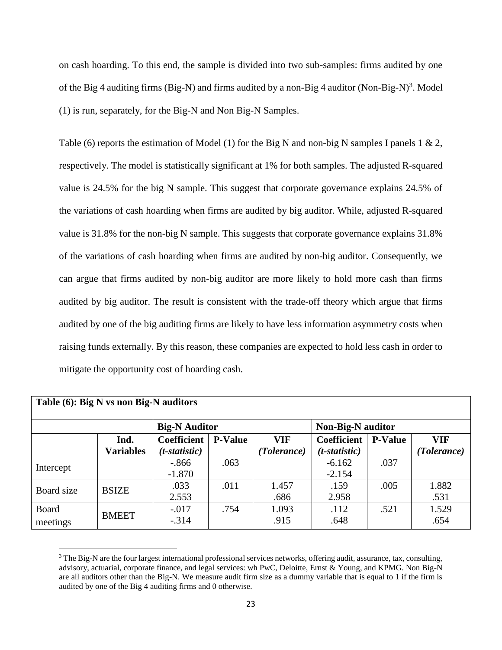on cash hoarding. To this end, the sample is divided into two sub-samples: firms audited by one of the Big 4 auditing firms (Big-N) and firms audited by a non-Big 4 auditor (Non-Big-N)<sup>3</sup>. Model (1) is run, separately, for the Big-N and Non Big-N Samples.

Table (6) reports the estimation of Model (1) for the Big N and non-big N samples I panels 1 & 2, respectively. The model is statistically significant at 1% for both samples. The adjusted R-squared value is 24.5% for the big N sample. This suggest that corporate governance explains 24.5% of the variations of cash hoarding when firms are audited by big auditor. While, adjusted R-squared value is 31.8% for the non-big N sample. This suggests that corporate governance explains 31.8% of the variations of cash hoarding when firms are audited by non-big auditor. Consequently, we can argue that firms audited by non-big auditor are more likely to hold more cash than firms audited by big auditor. The result is consistent with the trade-off theory which argue that firms audited by one of the big auditing firms are likely to have less information asymmetry costs when raising funds externally. By this reason, these companies are expected to hold less cash in order to mitigate the opportunity cost of hoarding cash.

| Table (6): Big N vs non Big-N auditors |                  |                      |                |             |                          |                |             |  |  |  |
|----------------------------------------|------------------|----------------------|----------------|-------------|--------------------------|----------------|-------------|--|--|--|
|                                        |                  | <b>Big-N</b> Auditor |                |             | <b>Non-Big-N</b> auditor |                |             |  |  |  |
|                                        | Ind.             | <b>Coefficient</b>   | <b>P-Value</b> | VIF         | <b>Coefficient</b>       | <b>P-Value</b> | VIF         |  |  |  |
|                                        | <b>Variables</b> | $(t-statistic)$      |                | (Tolerance) | $(t-statistic)$          |                | (Tolerance) |  |  |  |
| Intercept                              |                  | $-0.866$             | .063           |             | $-6.162$                 | .037           |             |  |  |  |
|                                        |                  | $-1.870$             |                |             | $-2.154$                 |                |             |  |  |  |
| Board size                             | <b>BSIZE</b>     | .033                 | .011           | 1.457       | .159                     | .005           | 1.882       |  |  |  |
|                                        |                  | 2.553                |                | .686        | 2.958                    |                | .531        |  |  |  |
| Board                                  |                  | $-.017$              | .754           | 1.093       | .112                     | .521           | 1.529       |  |  |  |
| meetings                               | <b>BMEET</b>     | $-.314$              |                | .915        | .648                     |                | .654        |  |  |  |

<sup>&</sup>lt;sup>3</sup> The Big-N are the four largest international professional services networks, offering audit, assurance, tax, consulting, advisory, actuarial, corporate finance, and legal services: wh PwC, Deloitte, Ernst & Young, and KPMG. Non Big-N are all auditors other than the Big-N. We measure audit firm size as a dummy variable that is equal to 1 if the firm is audited by one of the Big 4 auditing firms and 0 otherwise.

 $\overline{a}$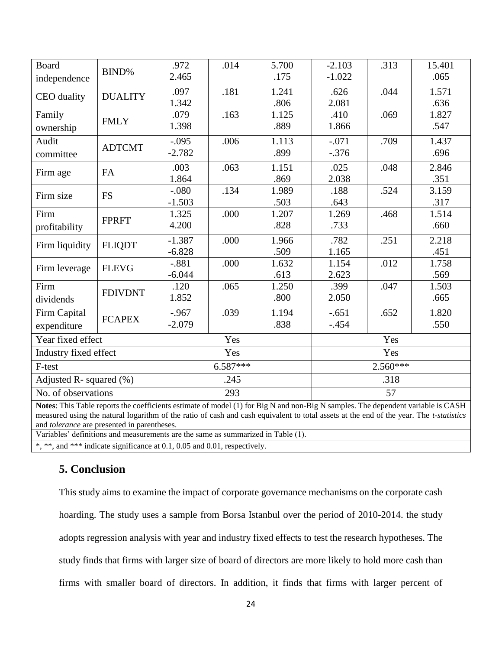| <b>Board</b>                                                                                                                                                                                                                                                                                                              | BIND%          | .972<br>2.465 | .014       | 5.700<br>.175 | $-2.103$<br>$-1.022$ | .313 | 15.401<br>.065 |  |
|---------------------------------------------------------------------------------------------------------------------------------------------------------------------------------------------------------------------------------------------------------------------------------------------------------------------------|----------------|---------------|------------|---------------|----------------------|------|----------------|--|
| independence                                                                                                                                                                                                                                                                                                              |                |               |            |               |                      |      |                |  |
| CEO duality                                                                                                                                                                                                                                                                                                               | <b>DUALITY</b> | .097          | .181       | 1.241         | .626                 | .044 | 1.571          |  |
|                                                                                                                                                                                                                                                                                                                           |                | 1.342         |            | .806          | 2.081                |      | .636           |  |
| Family                                                                                                                                                                                                                                                                                                                    | <b>FMLY</b>    | .079          | .163       | 1.125         | .410                 | .069 | 1.827          |  |
| ownership                                                                                                                                                                                                                                                                                                                 |                | 1.398         |            | .889          | 1.866                |      | .547           |  |
| Audit                                                                                                                                                                                                                                                                                                                     |                | $-.095$       | .006       | 1.113         | $-.071$              | .709 | 1.437          |  |
| committee                                                                                                                                                                                                                                                                                                                 | <b>ADTCMT</b>  | $-2.782$      |            | .899          | $-.376$              |      | .696           |  |
|                                                                                                                                                                                                                                                                                                                           | <b>FA</b>      | .003          | .063       | 1.151         | .025                 | .048 | 2.846          |  |
| Firm age                                                                                                                                                                                                                                                                                                                  |                | 1.864         |            | .869          | 2.038                |      | .351           |  |
| Firm size                                                                                                                                                                                                                                                                                                                 | <b>FS</b>      | $-.080$       | .134       | 1.989         | .188                 | .524 | 3.159          |  |
|                                                                                                                                                                                                                                                                                                                           |                | $-1.503$      |            | .503          | .643                 |      | .317           |  |
| Firm                                                                                                                                                                                                                                                                                                                      |                | 1.325         | .000       | 1.207         | 1.269                | .468 | 1.514          |  |
| profitability                                                                                                                                                                                                                                                                                                             | <b>FPRFT</b>   | 4.200         |            | .828          | .733                 |      | .660           |  |
| Firm liquidity                                                                                                                                                                                                                                                                                                            | <b>FLIQDT</b>  | $-1.387$      | .000       | 1.966         | .782                 | .251 | 2.218          |  |
|                                                                                                                                                                                                                                                                                                                           |                | $-6.828$      |            | .509          | 1.165                |      | .451           |  |
| Firm leverage                                                                                                                                                                                                                                                                                                             | <b>FLEVG</b>   | $-.881$       | .000       | 1.632         | 1.154                | .012 | 1.758          |  |
|                                                                                                                                                                                                                                                                                                                           |                | $-6.044$      |            | .613          | 2.623                |      | .569           |  |
| Firm                                                                                                                                                                                                                                                                                                                      |                | .120          | .065       | 1.250         | .399                 | .047 | 1.503          |  |
| dividends                                                                                                                                                                                                                                                                                                                 | <b>FDIVDNT</b> | 1.852         |            | .800          | 2.050                |      | .665           |  |
| Firm Capital                                                                                                                                                                                                                                                                                                              |                | $-.967$       | .039       | 1.194         | $-.651$              | .652 | 1.820          |  |
| expenditure                                                                                                                                                                                                                                                                                                               | <b>FCAPEX</b>  | $-2.079$      |            | .838          | $-.454$              |      | .550           |  |
| Year fixed effect                                                                                                                                                                                                                                                                                                         |                |               | Yes        |               | Yes                  |      |                |  |
| Industry fixed effect                                                                                                                                                                                                                                                                                                     |                |               | Yes        |               | Yes                  |      |                |  |
| F-test                                                                                                                                                                                                                                                                                                                    |                |               | $6.587***$ |               | $2.560***$           |      |                |  |
| Adjusted R-squared $(\%)$                                                                                                                                                                                                                                                                                                 |                |               | .245       |               | .318                 |      |                |  |
| No. of observations                                                                                                                                                                                                                                                                                                       |                | 293           |            |               | 57                   |      |                |  |
| Notes: This Table reports the coefficients estimate of model (1) for Big N and non-Big N samples. The dependent variable is CASH<br>measured using the natural logarithm of the ratio of cash and cash equivalent to total assets at the end of the year. The t-statistics<br>and tolerance are presented in parentheses. |                |               |            |               |                      |      |                |  |

Variables' definitions and measurements are the same as summarized in Table (1).

\*, \*\*, and \*\*\* indicate significance at 0.1, 0.05 and 0.01, respectively.

# **5. Conclusion**

This study aims to examine the impact of corporate governance mechanisms on the corporate cash hoarding. The study uses a sample from Borsa Istanbul over the period of 2010-2014. the study adopts regression analysis with year and industry fixed effects to test the research hypotheses. The study finds that firms with larger size of board of directors are more likely to hold more cash than firms with smaller board of directors. In addition, it finds that firms with larger percent of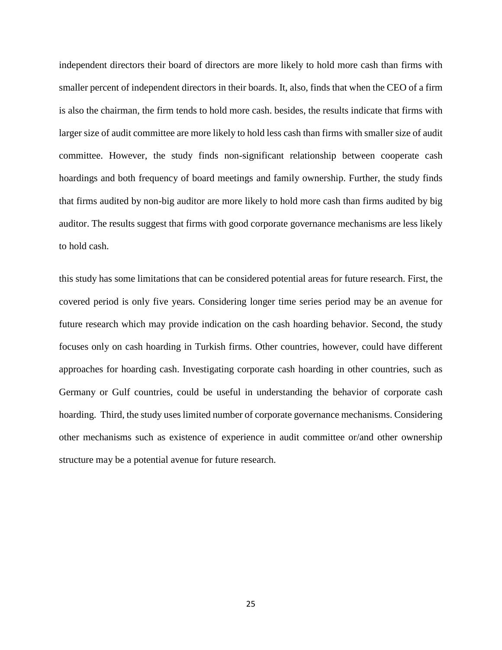independent directors their board of directors are more likely to hold more cash than firms with smaller percent of independent directors in their boards. It, also, finds that when the CEO of a firm is also the chairman, the firm tends to hold more cash. besides, the results indicate that firms with larger size of audit committee are more likely to hold less cash than firms with smaller size of audit committee. However, the study finds non-significant relationship between cooperate cash hoardings and both frequency of board meetings and family ownership. Further, the study finds that firms audited by non-big auditor are more likely to hold more cash than firms audited by big auditor. The results suggest that firms with good corporate governance mechanisms are less likely to hold cash.

this study has some limitations that can be considered potential areas for future research. First, the covered period is only five years. Considering longer time series period may be an avenue for future research which may provide indication on the cash hoarding behavior. Second, the study focuses only on cash hoarding in Turkish firms. Other countries, however, could have different approaches for hoarding cash. Investigating corporate cash hoarding in other countries, such as Germany or Gulf countries, could be useful in understanding the behavior of corporate cash hoarding. Third, the study uses limited number of corporate governance mechanisms. Considering other mechanisms such as existence of experience in audit committee or/and other ownership structure may be a potential avenue for future research.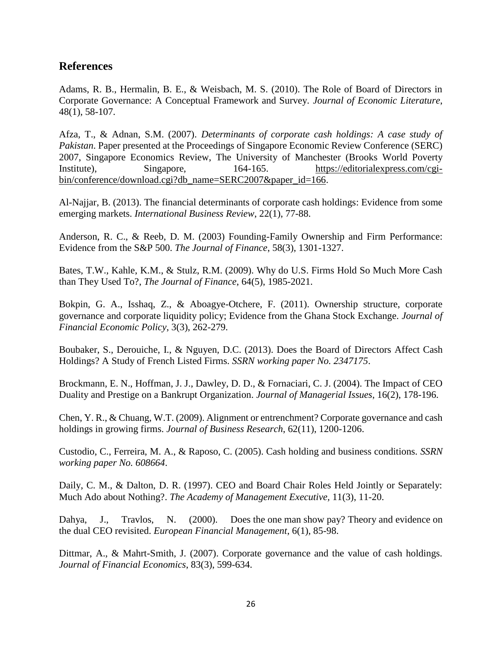# **References**

Adams, R. B., Hermalin, B. E., & Weisbach, M. S. (2010). The Role of Board of Directors in Corporate Governance: A Conceptual Framework and Survey. *Journal of Economic Literature*, 48(1), 58-107.

Afza, T., & Adnan, S.M. (2007). *Determinants of corporate cash holdings: A case study of Pakistan*. Paper presented at the Proceedings of Singapore Economic Review Conference (SERC) 2007, Singapore Economics Review, The University of Manchester (Brooks World Poverty Institute), Singapore, 164-165. [https://editorialexpress.com/cgi](https://editorialexpress.com/cgi-bin/conference/download.cgi?db_name=SERC2007&paper_id=166)[bin/conference/download.cgi?db\\_name=SERC2007&paper\\_id=166.](https://editorialexpress.com/cgi-bin/conference/download.cgi?db_name=SERC2007&paper_id=166)

Al-Najjar, B. (2013). The financial determinants of corporate cash holdings: Evidence from some emerging markets. *International Business Review*, 22(1), 77-88.

Anderson, R. C., & Reeb, D. M. (2003) Founding-Family Ownership and Firm Performance: Evidence from the S&P 500. *The Journal of Finance*, 58(3), 1301-1327.

Bates, T.W., Kahle, K.M., & Stulz, R.M. (2009). Why do U.S. Firms Hold So Much More Cash than They Used To?, *The Journal of Finance*, 64(5), 1985-2021.

Bokpin, G. A., Isshaq, Z., & Aboagye-Otchere, F. (2011). Ownership structure, corporate governance and corporate liquidity policy; Evidence from the Ghana Stock Exchange. *Journal of Financial Economic Policy*, 3(3), 262-279.

Boubaker, S., Derouiche, I., & Nguyen, D.C. (2013). Does the Board of Directors Affect Cash Holdings? A Study of French Listed Firms. *SSRN working paper No. 2347175*.

Brockmann, E. N., Hoffman, J. J., Dawley, D. D., & Fornaciari, C. J. (2004). The Impact of CEO Duality and Prestige on a Bankrupt Organization. *Journal of Managerial Issues*, 16(2), 178-196.

Chen, Y. R., & Chuang, W.T. (2009). Alignment or entrenchment? Corporate governance and cash holdings in growing firms. *Journal of Business Research*, 62(11), 1200-1206.

Custodio, C., Ferreira, M. A., & Raposo, C. (2005). Cash holding and business conditions. *SSRN working paper No. 608664*.

Daily, C. M., & Dalton, D. R. (1997). CEO and Board Chair Roles Held Jointly or Separately: Much Ado about Nothing?. *The Academy of Management Executive,* 11(3), 11-20.

Dahya, J., Travlos, N. (2000). Does the one man show pay? Theory and evidence on the dual CEO revisited. *European Financial Management*, 6(1), 85-98.

Dittmar, A., & Mahrt-Smith, J. (2007). Corporate governance and the value of cash holdings. *Journal of Financial Economics*, 83(3), 599-634.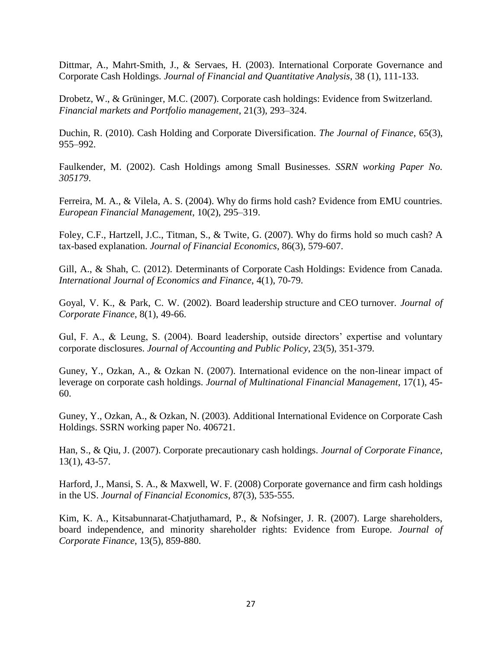Dittmar, A., Mahrt-Smith, J., & Servaes, H. (2003). International Corporate Governance and Corporate Cash Holdings*. Journal of Financial and Quantitative Analysis*, 38 (1), 111-133.

Drobetz, W., & Grüninger, M.C. (2007). Corporate cash holdings: Evidence from Switzerland. *Financial markets and Portfolio management*, 21(3), 293–324.

Duchin, R. (2010). Cash Holding and Corporate Diversification. *The Journal of Finance*, 65(3), 955–992.

Faulkender, M. (2002). Cash Holdings among Small Businesses. *SSRN working Paper No. 305179*.

Ferreira, M. A., & Vilela, A. S. (2004). Why do firms hold cash? Evidence from EMU countries. *European Financial Management*, 10(2), 295–319.

Foley, C.F., Hartzell, J.C., Titman, S., & Twite, G. (2007). Why do firms hold so much cash? A tax-based explanation. *Journal of Financial Economics*, 86(3), 579-607.

Gill, A., & Shah, C. (2012). Determinants of Corporate Cash Holdings: Evidence from Canada. *International Journal of Economics and Finance*, 4(1), 70-79.

Goyal, V. K., & Park, C. W. (2002). Board leadership structure and CEO turnover. *Journal of Corporate Finance*, 8(1), 49-66.

Gul, F. A., & Leung, S. (2004). Board leadership, outside directors' expertise and voluntary corporate disclosures. *Journal of Accounting and Public Policy*, 23(5), 351-379.

Guney, Y., Ozkan, A., & Ozkan N. (2007). International evidence on the non-linear impact of leverage on corporate cash holdings. *Journal of Multinational Financial Management*, 17(1), 45- 60.

Guney, Y., Ozkan, A., & Ozkan, N. (2003). Additional International Evidence on Corporate Cash Holdings. SSRN working paper No. 406721.

Han, S., & Qiu, J. (2007). Corporate precautionary cash holdings. *Journal of Corporate Finance*, 13(1), 43-57.

Harford, J., Mansi, S. A., & Maxwell, W. F. (2008) Corporate governance and firm cash holdings in the US. *Journal of Financial Economics*, 87(3), 535-555.

Kim, K. A., Kitsabunnarat-Chatjuthamard, P., & Nofsinger, J. R. (2007). Large shareholders, board independence, and minority shareholder rights: Evidence from Europe. *Journal of Corporate Finance*, 13(5), 859-880.